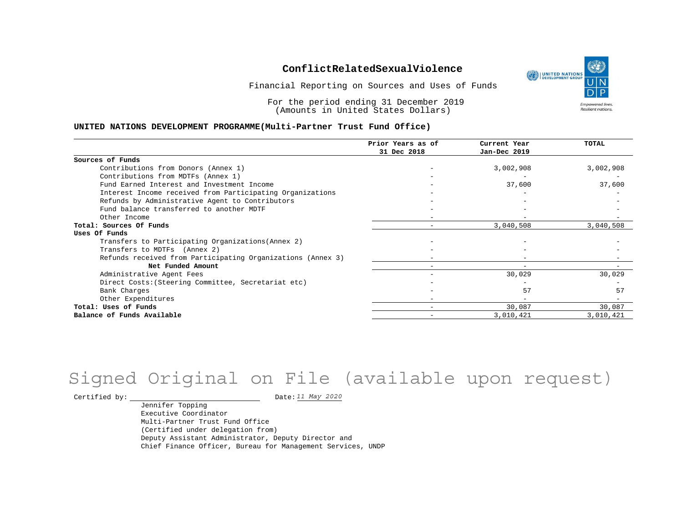Financial Reporting on Sources and Uses of Funds

For the period ending 31 December 2019 (Amounts in United States Dollars)

### **UNITED NATIONS DEVELOPMENT PROGRAMME(Multi-Partner Trust Fund Office)**

|                                                             | Prior Years as of<br>31 Dec 2018 | Current Year<br>Jan-Dec 2019 | TOTAL     |
|-------------------------------------------------------------|----------------------------------|------------------------------|-----------|
|                                                             |                                  |                              |           |
| Sources of Funds                                            |                                  |                              |           |
| Contributions from Donors (Annex 1)                         |                                  | 3,002,908                    | 3,002,908 |
| Contributions from MDTFs (Annex 1)                          |                                  |                              |           |
| Fund Earned Interest and Investment Income                  |                                  | 37,600                       | 37,600    |
| Interest Income received from Participating Organizations   |                                  |                              |           |
| Refunds by Administrative Agent to Contributors             |                                  |                              |           |
| Fund balance transferred to another MDTF                    |                                  |                              |           |
| Other Income                                                |                                  |                              |           |
| Total: Sources Of Funds                                     |                                  | 3,040,508                    | 3,040,508 |
| Uses Of Funds                                               |                                  |                              |           |
| Transfers to Participating Organizations (Annex 2)          |                                  |                              |           |
| Transfers to MDTFs (Annex 2)                                |                                  |                              |           |
| Refunds received from Participating Organizations (Annex 3) |                                  |                              |           |
| Net Funded Amount                                           |                                  |                              |           |
| Administrative Agent Fees                                   |                                  | 30,029                       | 30,029    |
| Direct Costs: (Steering Committee, Secretariat etc)         |                                  |                              |           |
| Bank Charges                                                |                                  | 57                           | 57        |
| Other Expenditures                                          |                                  |                              |           |
| Total: Uses of Funds                                        |                                  | 30,087                       | 30,087    |
| Balance of Funds Available                                  |                                  | 3,010,421                    | 3,010,421 |

# Signed Original on File (available upon request)

Certified by:  $\frac{11 May 2020}{100}$ 

Jennifer Topping Executive Coordinator Multi-Partner Trust Fund Office (Certified under delegation from) Deputy Assistant Administrator, Deputy Director and Chief Finance Officer, Bureau for Management Services, UNDP

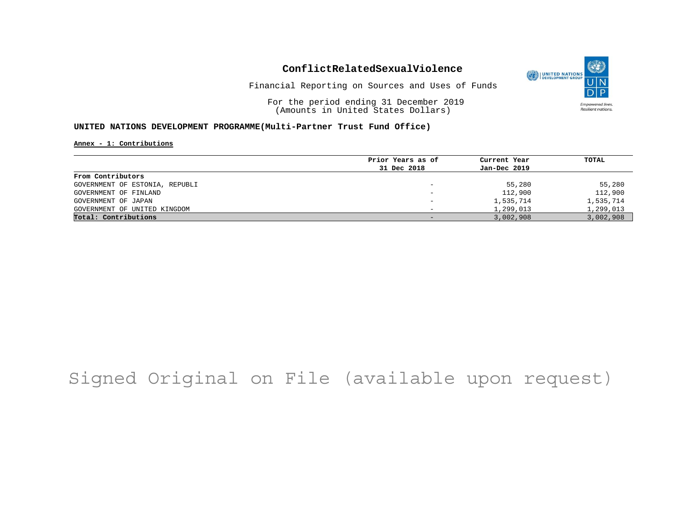

Financial Reporting on Sources and Uses of Funds

For the period ending 31 December 2019 (Amounts in United States Dollars)

### **UNITED NATIONS DEVELOPMENT PROGRAMME(Multi-Partner Trust Fund Office)**

### **Annex - 1: Contributions**

|                                | Prior Years as of        | Current Year | TOTAL     |
|--------------------------------|--------------------------|--------------|-----------|
|                                | 31 Dec 2018              | Jan-Dec 2019 |           |
| From Contributors              |                          |              |           |
| GOVERNMENT OF ESTONIA, REPUBLI |                          | 55,280       | 55,280    |
| GOVERNMENT OF FINLAND          |                          | 112,900      | 112,900   |
| GOVERNMENT OF JAPAN            | $\overline{\phantom{0}}$ | 1,535,714    | 1,535,714 |
| GOVERNMENT OF UNITED KINGDOM   |                          | 1,299,013    | 1,299,013 |
| Total: Contributions           |                          | 3,002,908    | 3,002,908 |
|                                |                          |              |           |

# Signed Original on File (available upon request)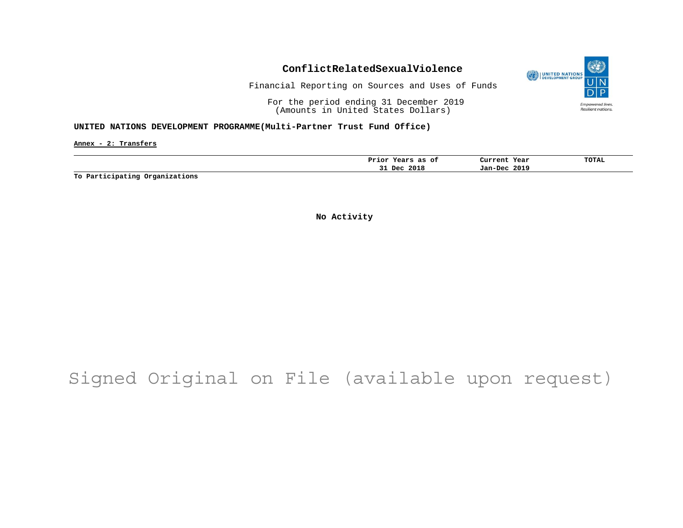

Financial Reporting on Sources and Uses of Funds

For the period ending 31 December 2019 (Amounts in United States Dollars)

### **UNITED NATIONS DEVELOPMENT PROGRAMME(Multi-Partner Trust Fund Office)**

**Annex - 2: Transfers**

| ot<br>as<br>Prıor<br>rears | Current<br>Year | <b>TOTAL</b> |
|----------------------------|-----------------|--------------|
| 2018<br>Dec.<br>۔ ب        | 2019<br>Jan-Dec |              |

**To Participating Organizations**

**No Activity**

# Signed Original on File (available upon request)